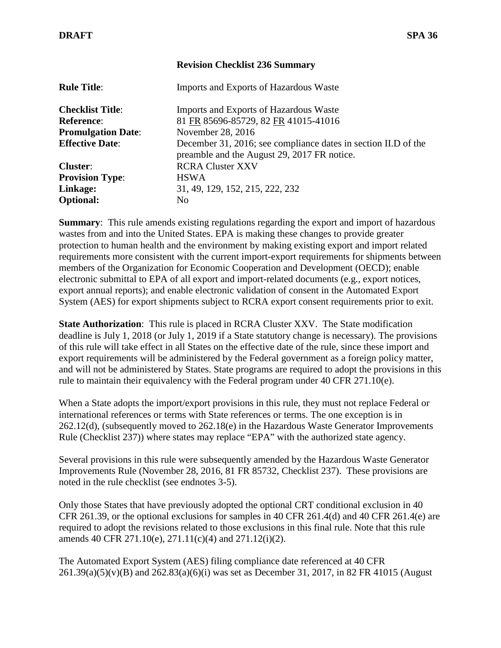## **Revision Checklist 236 Summary**

| <b>Rule Title:</b>        | Imports and Exports of Hazardous Waste                                                                        |
|---------------------------|---------------------------------------------------------------------------------------------------------------|
| <b>Checklist Title:</b>   | Imports and Exports of Hazardous Waste                                                                        |
| <b>Reference:</b>         | 81 FR 85696-85729, 82 FR 41015-41016                                                                          |
| <b>Promulgation Date:</b> | November 28, 2016                                                                                             |
| <b>Effective Date:</b>    | December 31, 2016; see compliance dates in section II.D of the<br>preamble and the August 29, 2017 FR notice. |
| <b>Cluster:</b>           | <b>RCRA Cluster XXV</b>                                                                                       |
| <b>Provision Type:</b>    | <b>HSWA</b>                                                                                                   |
| Linkage:                  | 31, 49, 129, 152, 215, 222, 232                                                                               |
| <b>Optional:</b>          | N <sub>0</sub>                                                                                                |

**Summary:** This rule amends existing regulations regarding the export and import of hazardous wastes from and into the United States. EPA is making these changes to provide greater protection to human health and the environment by making existing export and import related requirements more consistent with the current import-export requirements for shipments between members of the Organization for Economic Cooperation and Development (OECD); enable electronic submittal to EPA of all export and import-related documents (e.g., export notices, export annual reports); and enable electronic validation of consent in the Automated Export System (AES) for export shipments subject to RCRA export consent requirements prior to exit.

**State Authorization**: This rule is placed in RCRA Cluster XXV. The State modification deadline is July 1, 2018 (or July 1, 2019 if a State statutory change is necessary). The provisions of this rule will take effect in all States on the effective date of the rule, since these import and export requirements will be administered by the Federal government as a foreign policy matter, and will not be administered by States. State programs are required to adopt the provisions in this rule to maintain their equivalency with the Federal program under  $40 \text{ CFR } 271.10(e)$ .

When a State adopts the import/export provisions in this rule, they must not replace Federal or international references or terms with State references or terms. The one exception is in 262.12(d), (subsequently moved to 262.18(e) in the Hazardous Waste Generator Improvements Rule (Checklist 237)) where states may replace "EPA" with the authorized state agency.

Several provisions in this rule were subsequently amended by the Hazardous Waste Generator Improvements Rule (November 28, 2016, 81 FR 85732, Checklist 237). These provisions are noted in the rule checklist (see endnotes 3-5).

Only those States that have previously adopted the optional CRT conditional exclusion in 40 CFR 261.39, or the optional exclusions for samples in 40 CFR 261.4(d) and 40 CFR 261.4(e) are required to adopt the revisions related to those exclusions in this final rule. Note that this rule amends 40 CFR 271.10(e), 271.11(c)(4) and 271.12(i)(2).

The Automated Export System (AES) filing compliance date referenced at 40 CFR 261.39(a)(5)(v)(B) and 262.83(a)(6)(i) was set as December 31, 2017, in 82 FR 41015 (August